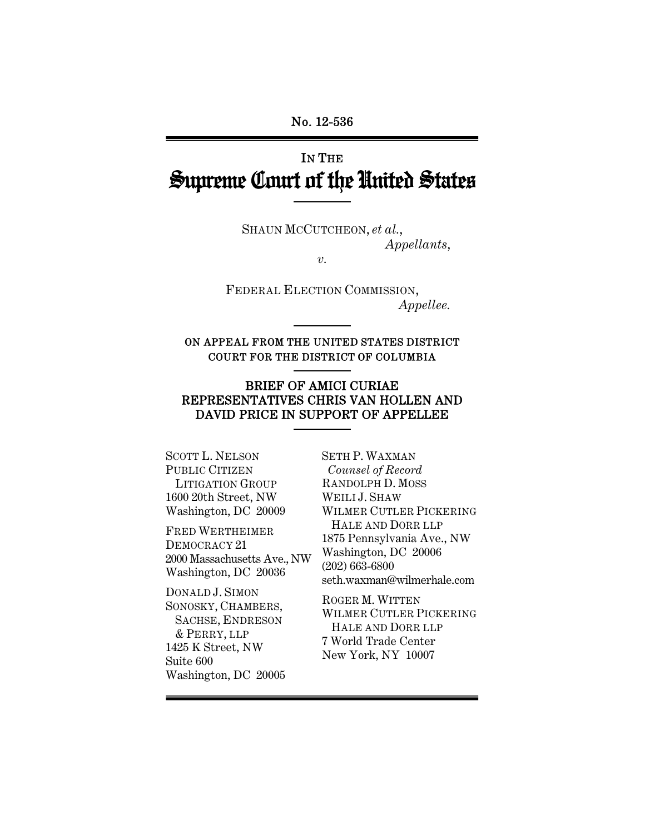# IN THE Supreme Court of the United States

SHAUN MCCUTCHEON, *et al.*, *Appellants*,

*v.* 

FEDERAL ELECTION COMMISSION, *Appellee.* 

ON APPEAL FROM THE UNITED STATES DISTRICT COURT FOR THE DISTRICT OF COLUMBIA

### BRIEF OF AMICI CURIAE REPRESENTATIVES CHRIS VAN HOLLEN AND DAVID PRICE IN SUPPORT OF APPELLEE

SCOTT L. NELSON PUBLIC CITIZEN LITIGATION GROUP 1600 20th Street, NW Washington, DC 20009

FRED WERTHEIMER DEMOCRACY 21 2000 Massachusetts Ave., NW Washington, DC 20036

DONALD J. SIMON SONOSKY, CHAMBERS, SACHSE, ENDRESON & PERRY, LLP 1425 K Street, NW Suite 600 Washington, DC 20005

SETH P. WAXMAN *Counsel of Record* RANDOLPH D. MOSS WEILI J. SHAW WILMER CUTLER PICKERING HALE AND DORR LLP 1875 Pennsylvania Ave., NW Washington, DC 20006 (202) 663-6800 seth.waxman@wilmerhale.com

ROGER M. WITTEN WILMER CUTLER PICKERING HALE AND DORR LLP 7 World Trade Center New York, NY 10007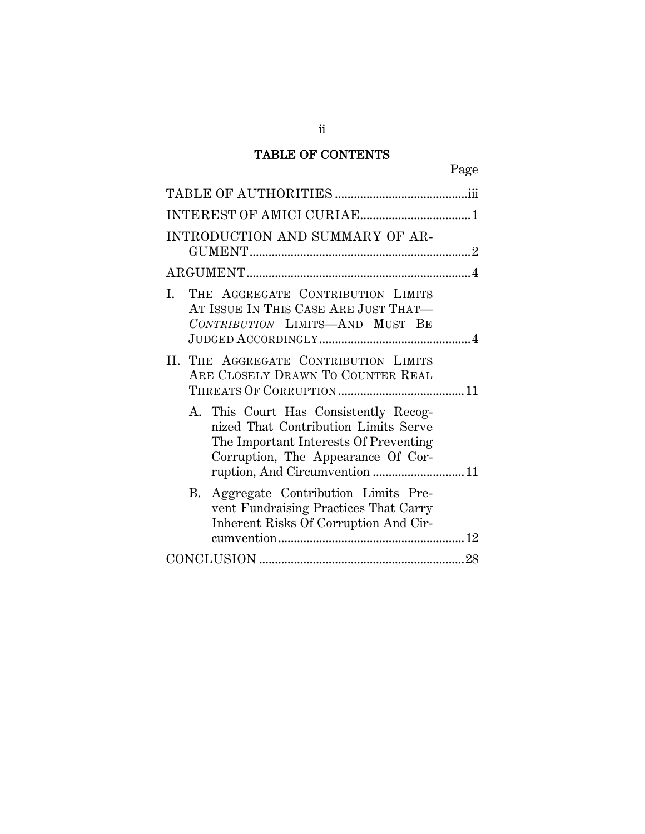## TABLE OF CONTENTS

ii

| INTRODUCTION AND SUMMARY OF AR-                                                                                                                                                               |  |
|-----------------------------------------------------------------------------------------------------------------------------------------------------------------------------------------------|--|
|                                                                                                                                                                                               |  |
| THE AGGREGATE CONTRIBUTION LIMITS<br>L<br>AT ISSUE IN THIS CASE ARE JUST THAT-<br>CONTRIBUTION LIMITS-AND MUST BE                                                                             |  |
| II. THE AGGREGATE CONTRIBUTION LIMITS<br>ARE CLOSELY DRAWN TO COUNTER REAL                                                                                                                    |  |
| A. This Court Has Consistently Recog-<br>nized That Contribution Limits Serve<br>The Important Interests Of Preventing<br>Corruption, The Appearance Of Cor-<br>ruption, And Circumvention 11 |  |
| B. Aggregate Contribution Limits Pre-<br>vent Fundraising Practices That Carry<br>Inherent Risks Of Corruption And Cir-                                                                       |  |
|                                                                                                                                                                                               |  |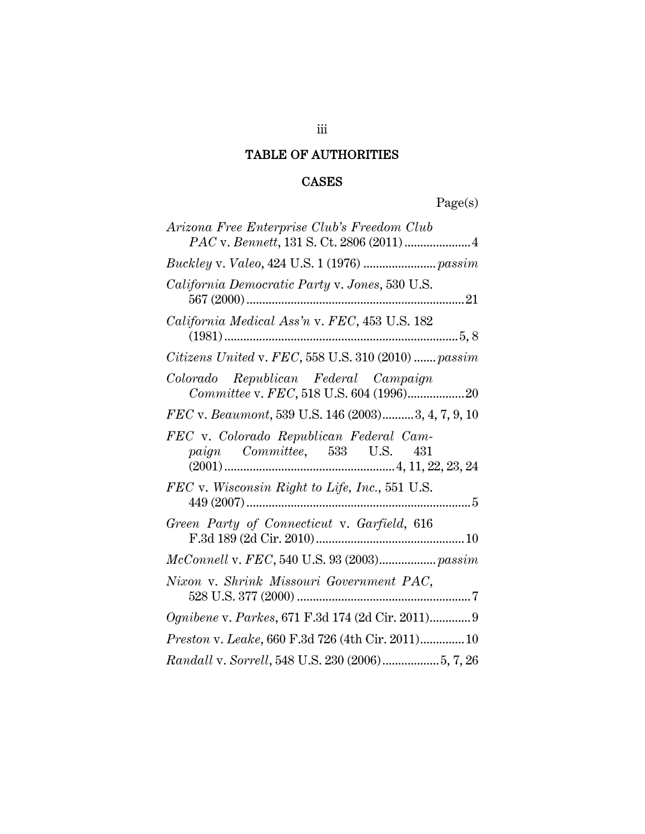## TABLE OF AUTHORITIES

## CASES

Page(s)

| Arizona Free Enterprise Club's Freedom Club<br>PAC v. Bennett, 131 S. Ct. 2806 (2011)  4 |
|------------------------------------------------------------------------------------------|
|                                                                                          |
| California Democratic Party v. Jones, 530 U.S.                                           |
| California Medical Ass'n v. FEC, 453 U.S. 182                                            |
| Citizens United v. FEC, 558 U.S. 310 (2010)  passim                                      |
| Colorado Republican Federal Campaign<br>Committee v. FEC, 518 U.S. 604 (1996)20          |
| FEC v. Beaumont, 539 U.S. 146 (2003)3, 4, 7, 9, 10                                       |
| FEC v. Colorado Republican Federal Cam-<br>paign Committee, 533 U.S. 431                 |
| FEC v. Wisconsin Right to Life, Inc., 551 U.S.                                           |
| Green Party of Connecticut v. Garfield, 616                                              |
| McConnell v. FEC, 540 U.S. 93 (2003) passim                                              |
| Nixon v. Shrink Missouri Government PAC,                                                 |
| Ognibene v. Parkes, 671 F.3d 174 (2d Cir. 2011) 9                                        |
| <i>Preston v. Leake,</i> 660 F.3d 726 (4th Cir. 2011) 10                                 |
| Randall v. Sorrell, 548 U.S. 230 (2006) 5, 7, 26                                         |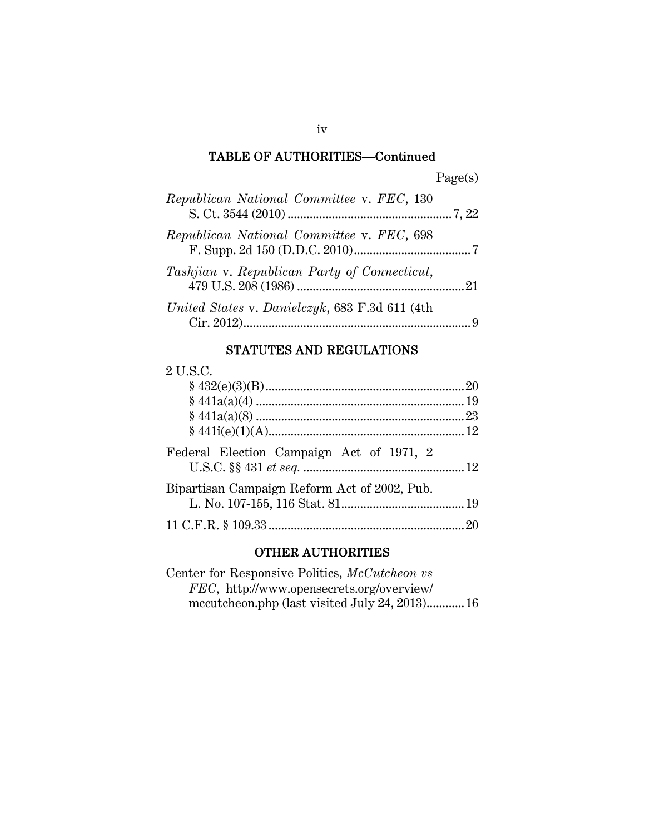#### TABLE OF AUTHORITIES—Continued

| )<br>agets |
|------------|
|------------|

| Republican National Committee v. FEC, 130      |  |
|------------------------------------------------|--|
| Republican National Committee v. FEC, 698      |  |
| Tashjian v. Republican Party of Connecticut,   |  |
| United States v. Danielczyk, 683 F.3d 611 (4th |  |

## STATUTES AND REGULATIONS

#### 2 U.S.C.

| Federal Election Campaign Act of 1971, 2     |  |
|----------------------------------------------|--|
| Bipartisan Campaign Reform Act of 2002, Pub. |  |
|                                              |  |

#### OTHER AUTHORITIES

Center for Responsive Politics, *McCutcheon vs FEC*, http://www.opensecrets.org/overview/ mccutcheon.php (last visited July 24, 2013)............ 16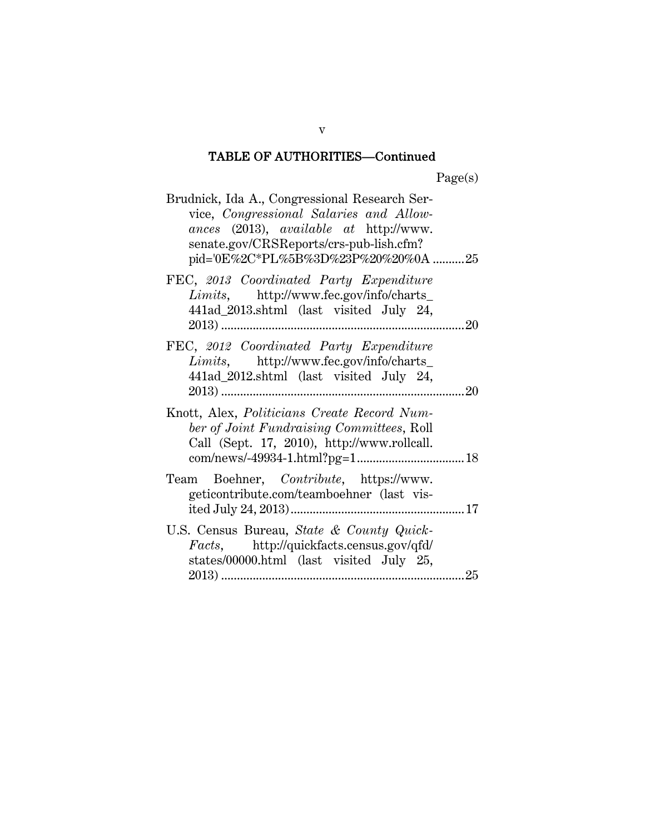## TABLE OF AUTHORITIES—Continued

Page(s)

| Brudnick, Ida A., Congressional Research Ser-<br>vice, Congressional Salaries and Allow-<br>ances (2013), available at http://www.<br>senate.gov/CRSReports/crs-pub-lish.cfm?<br>pid='0E%2C*PL%5B%3D%23P%20%20%0A 25 |
|----------------------------------------------------------------------------------------------------------------------------------------------------------------------------------------------------------------------|
| FEC, 2013 Coordinated Party Expenditure<br>Limits, http://www.fec.gov/info/charts_<br>441ad_2013.shtml (last visited July 24,<br>20                                                                                  |
| FEC, 2012 Coordinated Party Expenditure<br>Limits, http://www.fec.gov/info/charts_<br>441ad_2012.shtml (last visited July 24,<br>20                                                                                  |
| Knott, Alex, Politicians Create Record Num-<br>ber of Joint Fundraising Committees, Roll<br>Call (Sept. 17, 2010), http://www.rollcall.                                                                              |
| Team Boehner, Contribute, https://www.<br>geticontribute.com/teamboehner (last vis-                                                                                                                                  |
| U.S. Census Bureau, State & County Quick-<br>Facts, http://quickfacts.census.gov/qfd/<br>states/00000.html (last visited July 25,<br>25                                                                              |

v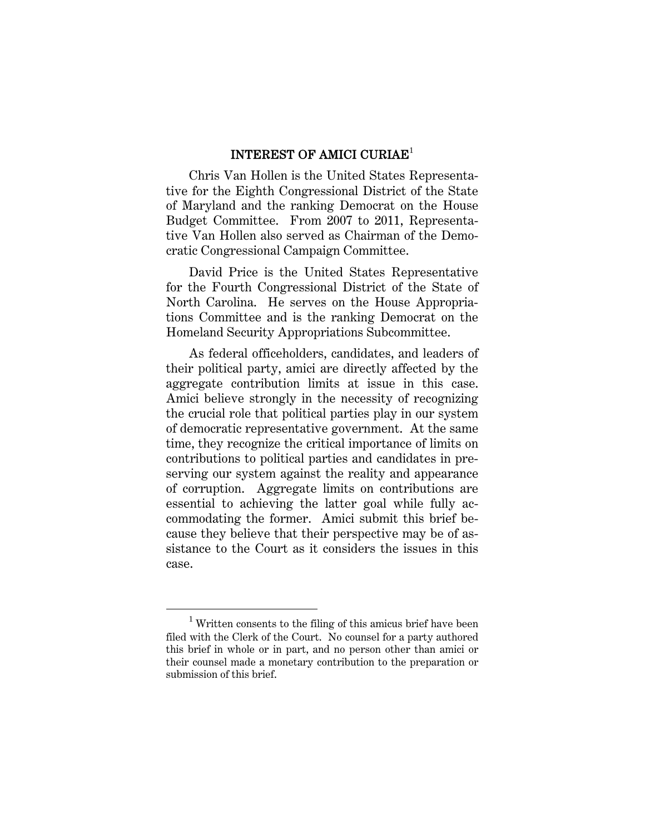#### INTEREST OF AMICI CURIAE<sup>1</sup>

Chris Van Hollen is the United States Representative for the Eighth Congressional District of the State of Maryland and the ranking Democrat on the House Budget Committee. From 2007 to 2011, Representative Van Hollen also served as Chairman of the Democratic Congressional Campaign Committee.

David Price is the United States Representative for the Fourth Congressional District of the State of North Carolina. He serves on the House Appropriations Committee and is the ranking Democrat on the Homeland Security Appropriations Subcommittee.

As federal officeholders, candidates, and leaders of their political party, amici are directly affected by the aggregate contribution limits at issue in this case. Amici believe strongly in the necessity of recognizing the crucial role that political parties play in our system of democratic representative government. At the same time, they recognize the critical importance of limits on contributions to political parties and candidates in preserving our system against the reality and appearance of corruption. Aggregate limits on contributions are essential to achieving the latter goal while fully accommodating the former. Amici submit this brief because they believe that their perspective may be of assistance to the Court as it considers the issues in this case.

<sup>1</sup>  $1$  Written consents to the filing of this amicus brief have been filed with the Clerk of the Court. No counsel for a party authored this brief in whole or in part, and no person other than amici or their counsel made a monetary contribution to the preparation or submission of this brief.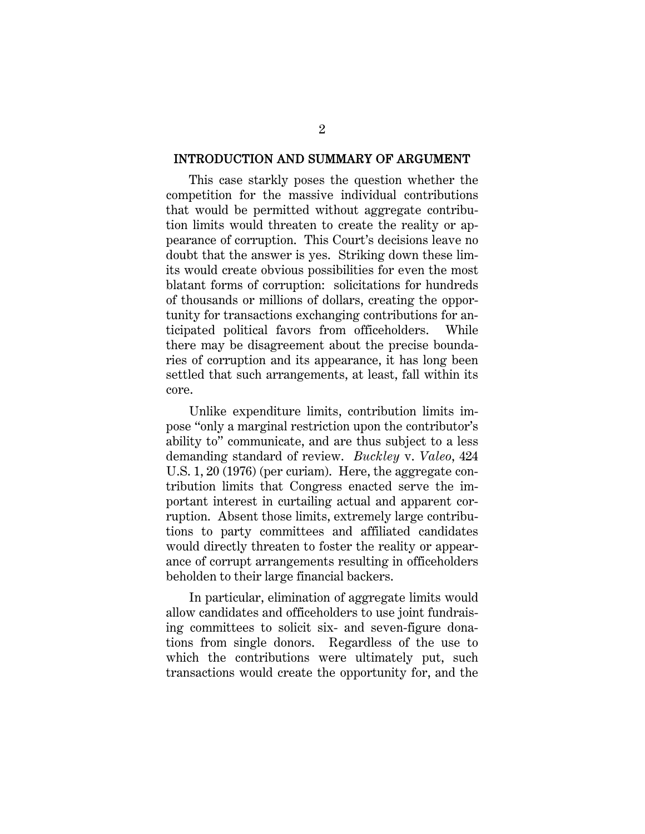#### INTRODUCTION AND SUMMARY OF ARGUMENT

This case starkly poses the question whether the competition for the massive individual contributions that would be permitted without aggregate contribution limits would threaten to create the reality or appearance of corruption. This Court's decisions leave no doubt that the answer is yes. Striking down these limits would create obvious possibilities for even the most blatant forms of corruption: solicitations for hundreds of thousands or millions of dollars, creating the opportunity for transactions exchanging contributions for anticipated political favors from officeholders. While there may be disagreement about the precise boundaries of corruption and its appearance, it has long been settled that such arrangements, at least, fall within its core.

Unlike expenditure limits, contribution limits impose "only a marginal restriction upon the contributor's ability to" communicate, and are thus subject to a less demanding standard of review. *Buckley* v. *Valeo*, 424 U.S. 1, 20 (1976) (per curiam). Here, the aggregate contribution limits that Congress enacted serve the important interest in curtailing actual and apparent corruption. Absent those limits, extremely large contributions to party committees and affiliated candidates would directly threaten to foster the reality or appearance of corrupt arrangements resulting in officeholders beholden to their large financial backers.

In particular, elimination of aggregate limits would allow candidates and officeholders to use joint fundraising committees to solicit six- and seven-figure donations from single donors. Regardless of the use to which the contributions were ultimately put, such transactions would create the opportunity for, and the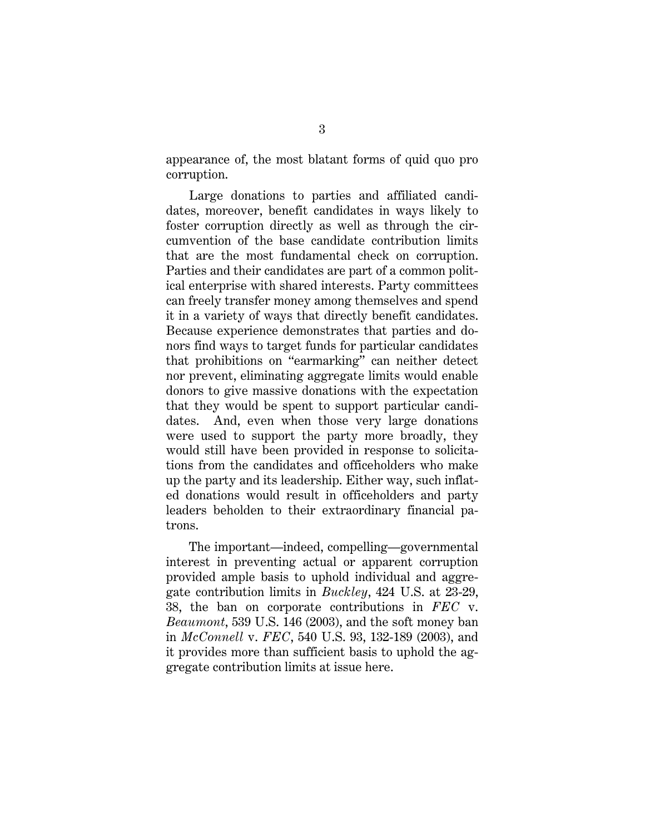appearance of, the most blatant forms of quid quo pro corruption.

Large donations to parties and affiliated candidates, moreover, benefit candidates in ways likely to foster corruption directly as well as through the circumvention of the base candidate contribution limits that are the most fundamental check on corruption. Parties and their candidates are part of a common political enterprise with shared interests. Party committees can freely transfer money among themselves and spend it in a variety of ways that directly benefit candidates. Because experience demonstrates that parties and donors find ways to target funds for particular candidates that prohibitions on "earmarking" can neither detect nor prevent, eliminating aggregate limits would enable donors to give massive donations with the expectation that they would be spent to support particular candidates. And, even when those very large donations were used to support the party more broadly, they would still have been provided in response to solicitations from the candidates and officeholders who make up the party and its leadership. Either way, such inflated donations would result in officeholders and party leaders beholden to their extraordinary financial patrons.

The important—indeed, compelling—governmental interest in preventing actual or apparent corruption provided ample basis to uphold individual and aggregate contribution limits in *Buckley*, 424 U.S. at 23-29, 38, the ban on corporate contributions in *FEC* v. *Beaumont*, 539 U.S. 146 (2003), and the soft money ban in *McConnell* v. *FEC*, 540 U.S. 93, 132-189 (2003), and it provides more than sufficient basis to uphold the aggregate contribution limits at issue here.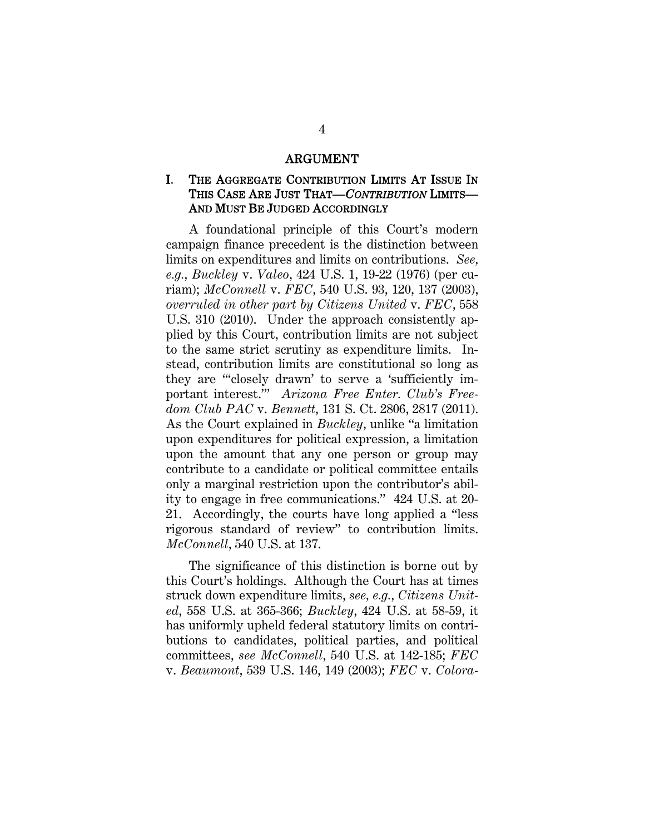#### ARGUMENT

### I. THE AGGREGATE CONTRIBUTION LIMITS AT ISSUE IN THIS CASE ARE JUST THAT—*CONTRIBUTION* LIMITS— AND MUST BE JUDGED ACCORDINGLY

A foundational principle of this Court's modern campaign finance precedent is the distinction between limits on expenditures and limits on contributions. *See, e.g.*, *Buckley* v. *Valeo*, 424 U.S. 1, 19-22 (1976) (per curiam); *McConnell* v. *FEC*, 540 U.S. 93, 120, 137 (2003), *overruled in other part by Citizens United* v. *FEC*, 558 U.S. 310 (2010). Under the approach consistently applied by this Court, contribution limits are not subject to the same strict scrutiny as expenditure limits. Instead, contribution limits are constitutional so long as they are "'closely drawn' to serve a 'sufficiently important interest.'" *Arizona Free Enter. Club's Freedom Club PAC* v. *Bennett*, 131 S. Ct. 2806, 2817 (2011). As the Court explained in *Buckley*, unlike "a limitation upon expenditures for political expression, a limitation upon the amount that any one person or group may contribute to a candidate or political committee entails only a marginal restriction upon the contributor's ability to engage in free communications." 424 U.S. at 20- 21. Accordingly, the courts have long applied a "less rigorous standard of review" to contribution limits. *McConnell*, 540 U.S. at 137.

The significance of this distinction is borne out by this Court's holdings. Although the Court has at times struck down expenditure limits, *see, e.g.*, *Citizens United*, 558 U.S. at 365-366; *Buckley*, 424 U.S. at 58-59, it has uniformly upheld federal statutory limits on contributions to candidates, political parties, and political committees, *see McConnell*, 540 U.S. at 142-185; *FEC* v. *Beaumont*, 539 U.S. 146, 149 (2003); *FEC* v. *Colora-*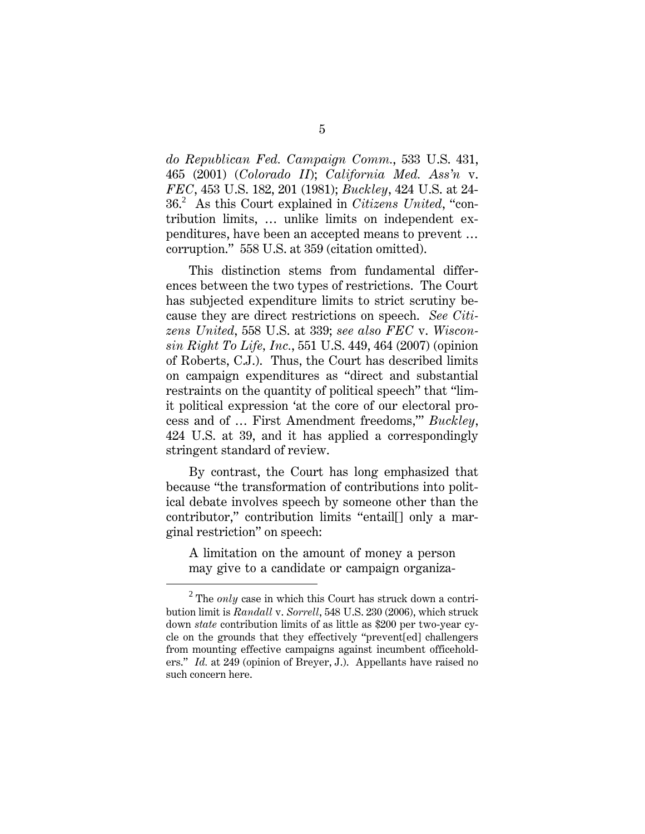*do Republican Fed. Campaign Comm.*, 533 U.S. 431, 465 (2001) (*Colorado II*); *California Med. Ass'n* v. *FEC*, 453 U.S. 182, 201 (1981); *Buckley*, 424 U.S. at 24- 36.<sup>2</sup> As this Court explained in *Citizens United*, "contribution limits, … unlike limits on independent expenditures, have been an accepted means to prevent … corruption." 558 U.S. at 359 (citation omitted).

This distinction stems from fundamental differences between the two types of restrictions. The Court has subjected expenditure limits to strict scrutiny because they are direct restrictions on speech. *See Citizens United*, 558 U.S. at 339; *see also FEC* v. *Wisconsin Right To Life, Inc.*, 551 U.S. 449, 464 (2007) (opinion of Roberts, C.J.). Thus, the Court has described limits on campaign expenditures as "direct and substantial restraints on the quantity of political speech" that "limit political expression 'at the core of our electoral process and of … First Amendment freedoms,'" *Buckley*, 424 U.S. at 39, and it has applied a correspondingly stringent standard of review.

By contrast, the Court has long emphasized that because "the transformation of contributions into political debate involves speech by someone other than the contributor," contribution limits "entail[] only a marginal restriction" on speech:

A limitation on the amount of money a person may give to a candidate or campaign organiza-

<sup>2</sup> <sup>2</sup> The *only* case in which this Court has struck down a contribution limit is *Randall* v. *Sorrell*, 548 U.S. 230 (2006), which struck down *state* contribution limits of as little as \$200 per two-year cycle on the grounds that they effectively "prevent[ed] challengers from mounting effective campaigns against incumbent officeholders." *Id.* at 249 (opinion of Breyer, J.). Appellants have raised no such concern here.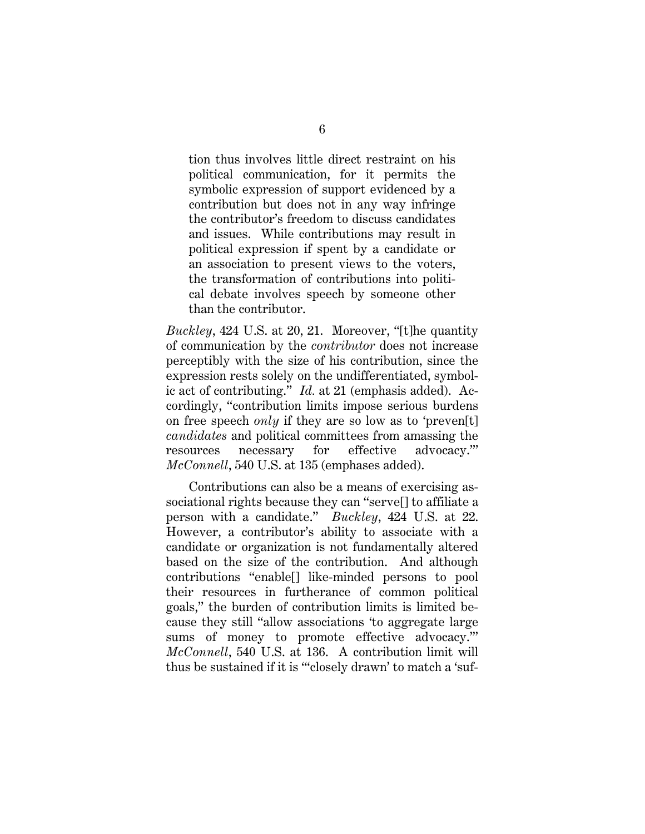tion thus involves little direct restraint on his political communication, for it permits the symbolic expression of support evidenced by a contribution but does not in any way infringe the contributor's freedom to discuss candidates and issues. While contributions may result in political expression if spent by a candidate or an association to present views to the voters, the transformation of contributions into political debate involves speech by someone other than the contributor.

*Buckley*, 424 U.S. at 20, 21. Moreover, "[t]he quantity of communication by the *contributor* does not increase perceptibly with the size of his contribution, since the expression rests solely on the undifferentiated, symbolic act of contributing." *Id.* at 21 (emphasis added). Accordingly, "contribution limits impose serious burdens on free speech *only* if they are so low as to 'preven[t] *candidates* and political committees from amassing the resources necessary for effective advocacy.'" *McConnell*, 540 U.S. at 135 (emphases added).

Contributions can also be a means of exercising associational rights because they can "serve[] to affiliate a person with a candidate." *Buckley*, 424 U.S. at 22. However, a contributor's ability to associate with a candidate or organization is not fundamentally altered based on the size of the contribution. And although contributions "enable[] like-minded persons to pool their resources in furtherance of common political goals," the burden of contribution limits is limited because they still "allow associations 'to aggregate large sums of money to promote effective advocacy.'" *McConnell*, 540 U.S. at 136. A contribution limit will thus be sustained if it is "'closely drawn' to match a 'suf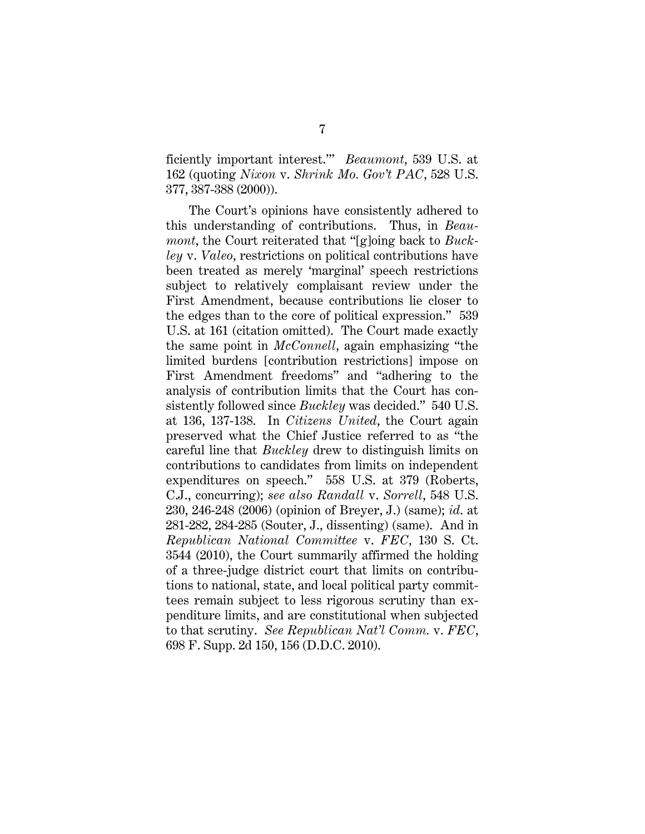ficiently important interest.'" *Beaumont*, 539 U.S. at 162 (quoting *Nixon* v. *Shrink Mo. Gov't PAC*, 528 U.S. 377, 387-388 (2000)).

The Court's opinions have consistently adhered to this understanding of contributions. Thus, in *Beaumont*, the Court reiterated that "[g]oing back to *Buckley* v. *Valeo*, restrictions on political contributions have been treated as merely 'marginal' speech restrictions subject to relatively complaisant review under the First Amendment, because contributions lie closer to the edges than to the core of political expression." 539 U.S. at 161 (citation omitted). The Court made exactly the same point in *McConnell*, again emphasizing "the limited burdens [contribution restrictions] impose on First Amendment freedoms" and "adhering to the analysis of contribution limits that the Court has consistently followed since *Buckley* was decided." 540 U.S. at 136, 137-138. In *Citizens United*, the Court again preserved what the Chief Justice referred to as "the careful line that *Buckley* drew to distinguish limits on contributions to candidates from limits on independent expenditures on speech." 558 U.S. at 379 (Roberts, C.J., concurring); *see also Randall* v. *Sorrell*, 548 U.S. 230, 246-248 (2006) (opinion of Breyer, J.) (same); *id*. at 281-282, 284-285 (Souter, J., dissenting) (same). And in *Republican National Committee* v. *FEC*, 130 S. Ct. 3544 (2010), the Court summarily affirmed the holding of a three-judge district court that limits on contributions to national, state, and local political party committees remain subject to less rigorous scrutiny than expenditure limits, and are constitutional when subjected to that scrutiny. *See Republican Nat'l Comm.* v. *FEC*, 698 F. Supp. 2d 150, 156 (D.D.C. 2010).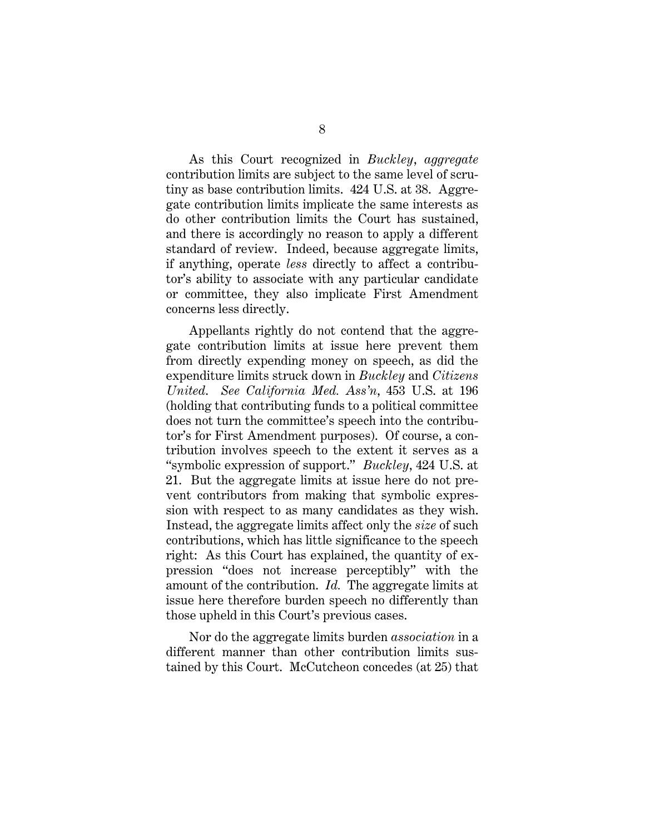As this Court recognized in *Buckley*, *aggregate* contribution limits are subject to the same level of scrutiny as base contribution limits. 424 U.S. at 38. Aggregate contribution limits implicate the same interests as do other contribution limits the Court has sustained, and there is accordingly no reason to apply a different standard of review. Indeed, because aggregate limits, if anything, operate *less* directly to affect a contributor's ability to associate with any particular candidate or committee, they also implicate First Amendment concerns less directly.

Appellants rightly do not contend that the aggregate contribution limits at issue here prevent them from directly expending money on speech, as did the expenditure limits struck down in *Buckley* and *Citizens United*. *See California Med. Ass'n*, 453 U.S. at 196 (holding that contributing funds to a political committee does not turn the committee's speech into the contributor's for First Amendment purposes). Of course, a contribution involves speech to the extent it serves as a "symbolic expression of support." *Buckley*, 424 U.S. at 21. But the aggregate limits at issue here do not prevent contributors from making that symbolic expression with respect to as many candidates as they wish. Instead, the aggregate limits affect only the *size* of such contributions, which has little significance to the speech right: As this Court has explained, the quantity of expression "does not increase perceptibly" with the amount of the contribution. *Id.* The aggregate limits at issue here therefore burden speech no differently than those upheld in this Court's previous cases.

Nor do the aggregate limits burden *association* in a different manner than other contribution limits sustained by this Court. McCutcheon concedes (at 25) that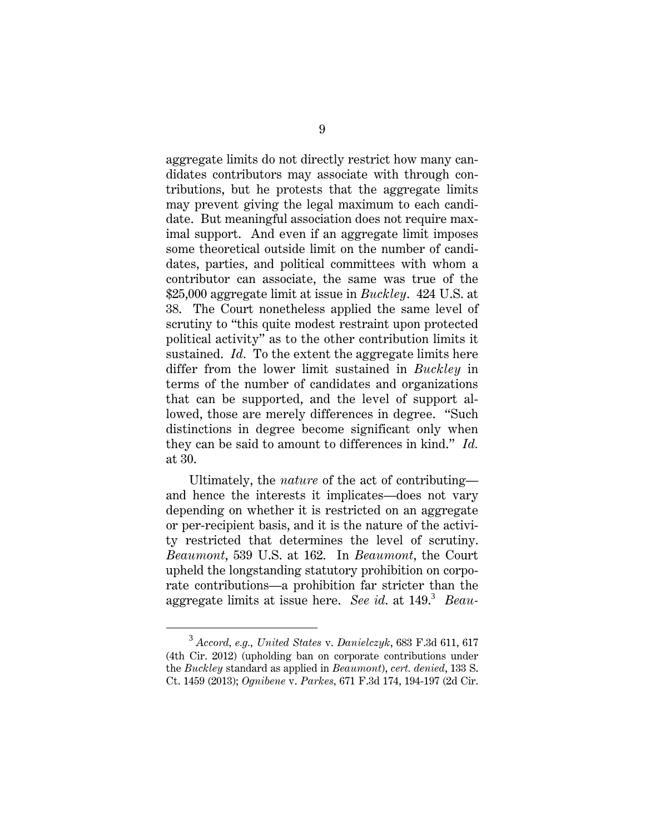aggregate limits do not directly restrict how many candidates contributors may associate with through contributions, but he protests that the aggregate limits may prevent giving the legal maximum to each candidate. But meaningful association does not require maximal support. And even if an aggregate limit imposes some theoretical outside limit on the number of candidates, parties, and political committees with whom a contributor can associate, the same was true of the \$25,000 aggregate limit at issue in *Buckley*. 424 U.S. at 38. The Court nonetheless applied the same level of scrutiny to "this quite modest restraint upon protected political activity" as to the other contribution limits it sustained. *Id.* To the extent the aggregate limits here differ from the lower limit sustained in *Buckley* in terms of the number of candidates and organizations that can be supported, and the level of support allowed, those are merely differences in degree. "Such distinctions in degree become significant only when they can be said to amount to differences in kind." *Id.* at 30.

Ultimately, the *nature* of the act of contributing and hence the interests it implicates—does not vary depending on whether it is restricted on an aggregate or per-recipient basis, and it is the nature of the activity restricted that determines the level of scrutiny. *Beaumont*, 539 U.S. at 162. In *Beaumont*, the Court upheld the longstanding statutory prohibition on corporate contributions—a prohibition far stricter than the aggregate limits at issue here. *See id*. at 149.<sup>3</sup> *Beau-*

<sup>3</sup> *Accord, e.g., United States* v. *Danielczyk*, 683 F.3d 611, 617 (4th Cir. 2012) (upholding ban on corporate contributions under the *Buckley* standard as applied in *Beaumont*), *cert. denied*, 133 S. Ct. 1459 (2013); *Ognibene* v. *Parkes,* 671 F.3d 174, 194-197 (2d Cir.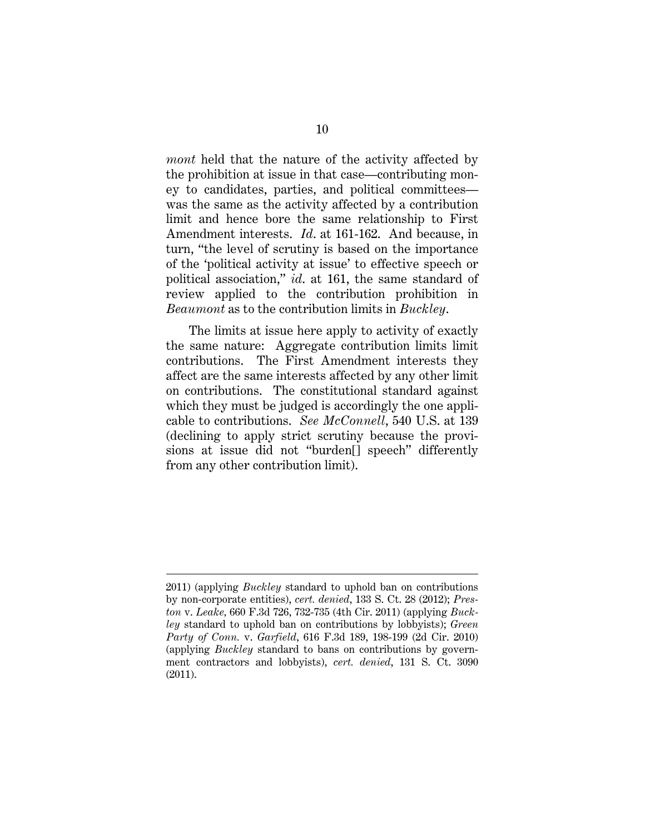*mont* held that the nature of the activity affected by the prohibition at issue in that case—contributing money to candidates, parties, and political committees was the same as the activity affected by a contribution limit and hence bore the same relationship to First Amendment interests. *Id*. at 161-162. And because, in turn, "the level of scrutiny is based on the importance of the 'political activity at issue' to effective speech or political association," *id*. at 161, the same standard of review applied to the contribution prohibition in *Beaumont* as to the contribution limits in *Buckley*.

The limits at issue here apply to activity of exactly the same nature: Aggregate contribution limits limit contributions. The First Amendment interests they affect are the same interests affected by any other limit on contributions. The constitutional standard against which they must be judged is accordingly the one applicable to contributions. *See McConnell*, 540 U.S. at 139 (declining to apply strict scrutiny because the provisions at issue did not "burden[] speech" differently from any other contribution limit).

 $\overline{a}$ 

<sup>2011) (</sup>applying *Buckley* standard to uphold ban on contributions by non-corporate entities), *cert. denied*, 133 S. Ct. 28 (2012); *Preston* v. *Leake,* 660 F.3d 726, 732-735 (4th Cir. 2011) (applying *Buckley* standard to uphold ban on contributions by lobbyists); *Green Party of Conn.* v. *Garfield*, 616 F.3d 189, 198-199 (2d Cir. 2010) (applying *Buckley* standard to bans on contributions by government contractors and lobbyists), *cert. denied*, 131 S. Ct. 3090 (2011).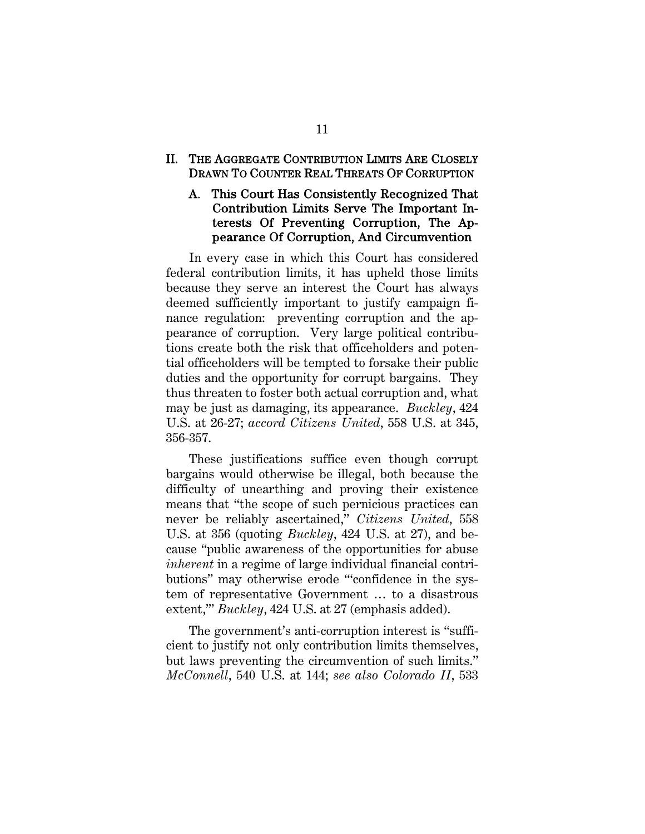#### II. THE AGGREGATE CONTRIBUTION LIMITS ARE CLOSELY DRAWN TO COUNTER REAL THREATS OF CORRUPTION

#### A. This Court Has Consistently Recognized That Contribution Limits Serve The Important Interests Of Preventing Corruption, The Appearance Of Corruption, And Circumvention

In every case in which this Court has considered federal contribution limits, it has upheld those limits because they serve an interest the Court has always deemed sufficiently important to justify campaign finance regulation: preventing corruption and the appearance of corruption. Very large political contributions create both the risk that officeholders and potential officeholders will be tempted to forsake their public duties and the opportunity for corrupt bargains. They thus threaten to foster both actual corruption and, what may be just as damaging, its appearance. *Buckley*, 424 U.S. at 26-27; *accord Citizens United*, 558 U.S. at 345, 356-357.

These justifications suffice even though corrupt bargains would otherwise be illegal, both because the difficulty of unearthing and proving their existence means that "the scope of such pernicious practices can never be reliably ascertained," *Citizens United*, 558 U.S. at 356 (quoting *Buckley*, 424 U.S. at 27), and because "public awareness of the opportunities for abuse *inherent* in a regime of large individual financial contributions" may otherwise erode "'confidence in the system of representative Government … to a disastrous extent,'" *Buckley*, 424 U.S. at 27 (emphasis added).

The government's anti-corruption interest is "sufficient to justify not only contribution limits themselves, but laws preventing the circumvention of such limits." *McConnell*, 540 U.S. at 144; *see also Colorado II*, 533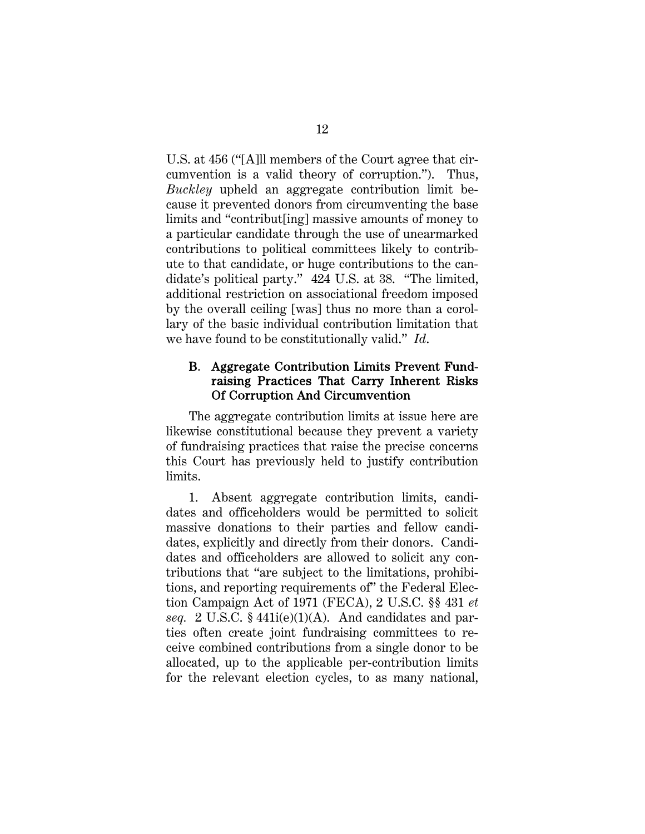U.S. at 456 ("[A]ll members of the Court agree that circumvention is a valid theory of corruption."). Thus, *Buckley* upheld an aggregate contribution limit because it prevented donors from circumventing the base limits and "contribut[ing] massive amounts of money to a particular candidate through the use of unearmarked contributions to political committees likely to contribute to that candidate, or huge contributions to the candidate's political party." 424 U.S. at 38. "The limited, additional restriction on associational freedom imposed by the overall ceiling [was] thus no more than a corollary of the basic individual contribution limitation that we have found to be constitutionally valid." *Id*.

#### B. Aggregate Contribution Limits Prevent Fundraising Practices That Carry Inherent Risks Of Corruption And Circumvention

The aggregate contribution limits at issue here are likewise constitutional because they prevent a variety of fundraising practices that raise the precise concerns this Court has previously held to justify contribution limits.

1. Absent aggregate contribution limits, candidates and officeholders would be permitted to solicit massive donations to their parties and fellow candidates, explicitly and directly from their donors. Candidates and officeholders are allowed to solicit any contributions that "are subject to the limitations, prohibitions, and reporting requirements of" the Federal Election Campaign Act of 1971 (FECA), 2 U.S.C. §§ 431 *et seq.* 2 U.S.C. § 441i(e)(1)(A). And candidates and parties often create joint fundraising committees to receive combined contributions from a single donor to be allocated, up to the applicable per-contribution limits for the relevant election cycles, to as many national,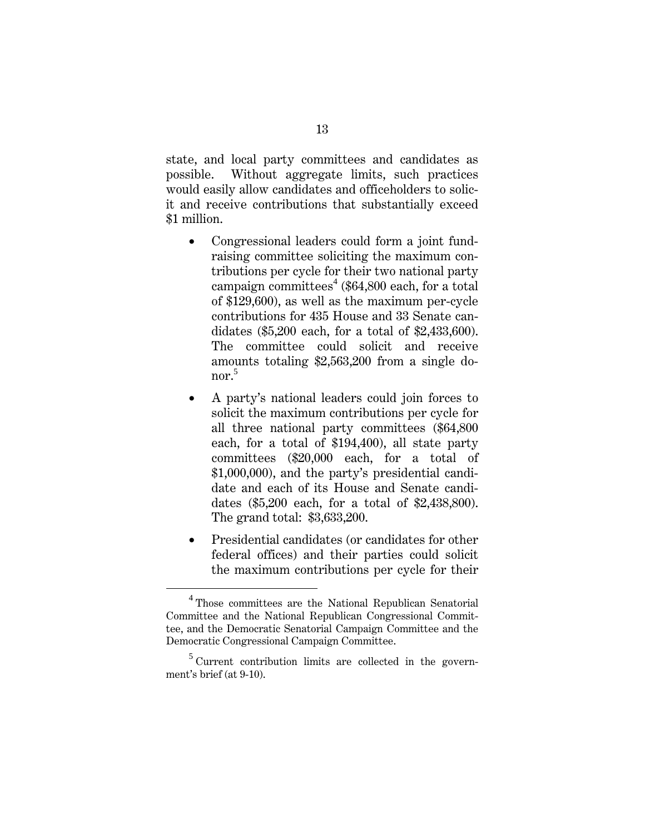state, and local party committees and candidates as possible. Without aggregate limits, such practices would easily allow candidates and officeholders to solicit and receive contributions that substantially exceed \$1 million.

- Congressional leaders could form a joint fundraising committee soliciting the maximum contributions per cycle for their two national party campaign committees<sup>4</sup> (\$64,800 each, for a total of \$129,600), as well as the maximum per-cycle contributions for 435 House and 33 Senate candidates (\$5,200 each, for a total of \$2,433,600). The committee could solicit and receive amounts totaling \$2,563,200 from a single donor. $5$
- A party's national leaders could join forces to solicit the maximum contributions per cycle for all three national party committees (\$64,800 each, for a total of \$194,400), all state party committees (\$20,000 each, for a total of \$1,000,000), and the party's presidential candidate and each of its House and Senate candidates (\$5,200 each, for a total of \$2,438,800). The grand total: \$3,633,200.
- Presidential candidates (or candidates for other federal offices) and their parties could solicit the maximum contributions per cycle for their

 $\overline{4}$ <sup>4</sup> Those committees are the National Republican Senatorial Committee and the National Republican Congressional Committee, and the Democratic Senatorial Campaign Committee and the Democratic Congressional Campaign Committee.

<sup>&</sup>lt;sup>5</sup> Current contribution limits are collected in the government's brief (at 9-10).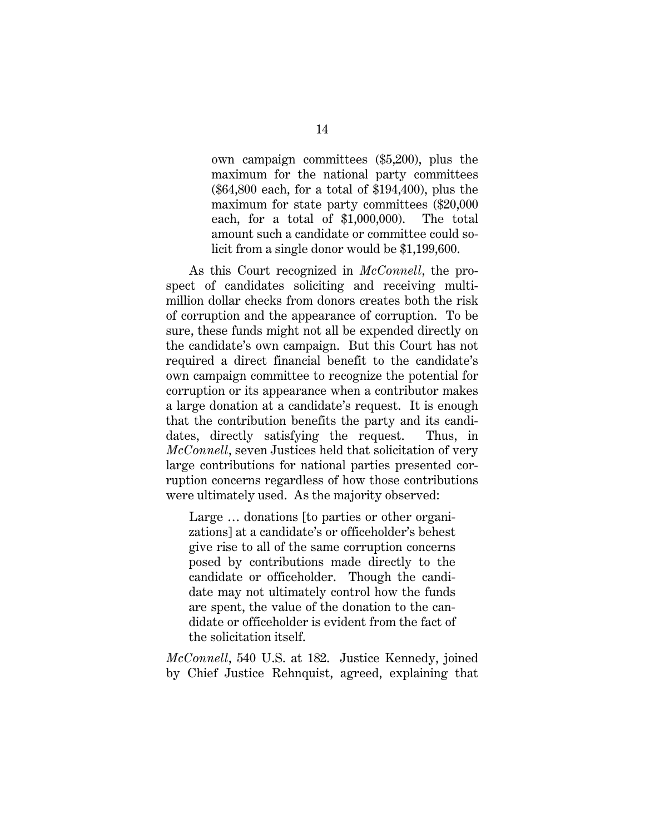own campaign committees (\$5,200), plus the maximum for the national party committees (\$64,800 each, for a total of \$194,400), plus the maximum for state party committees (\$20,000 each, for a total of \$1,000,000). The total amount such a candidate or committee could solicit from a single donor would be \$1,199,600.

As this Court recognized in *McConnell*, the prospect of candidates soliciting and receiving multimillion dollar checks from donors creates both the risk of corruption and the appearance of corruption. To be sure, these funds might not all be expended directly on the candidate's own campaign. But this Court has not required a direct financial benefit to the candidate's own campaign committee to recognize the potential for corruption or its appearance when a contributor makes a large donation at a candidate's request. It is enough that the contribution benefits the party and its candidates, directly satisfying the request. Thus, in *McConnell*, seven Justices held that solicitation of very large contributions for national parties presented corruption concerns regardless of how those contributions were ultimately used. As the majority observed:

Large … donations [to parties or other organizations] at a candidate's or officeholder's behest give rise to all of the same corruption concerns posed by contributions made directly to the candidate or officeholder. Though the candidate may not ultimately control how the funds are spent, the value of the donation to the candidate or officeholder is evident from the fact of the solicitation itself.

*McConnell*, 540 U.S. at 182. Justice Kennedy, joined by Chief Justice Rehnquist, agreed, explaining that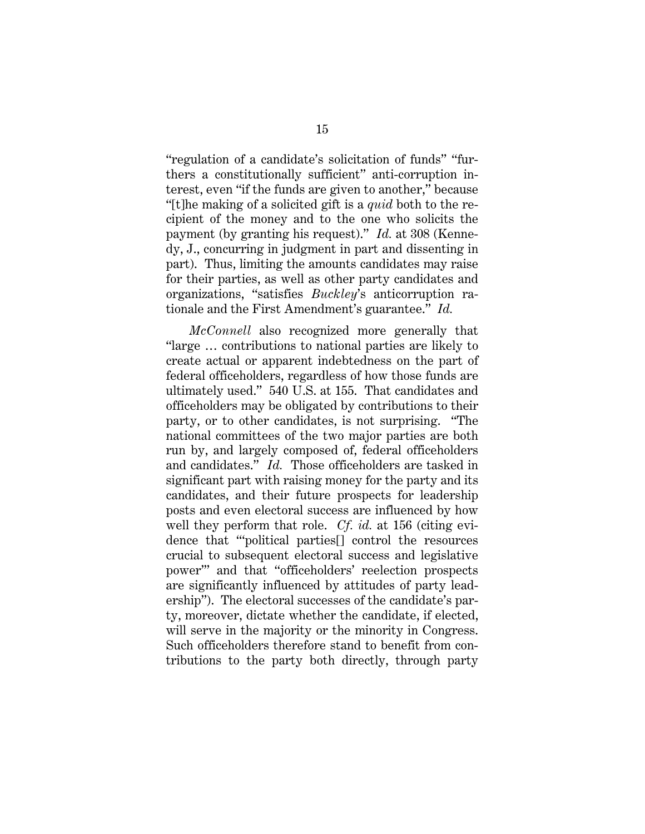"regulation of a candidate's solicitation of funds" "furthers a constitutionally sufficient" anti-corruption interest, even "if the funds are given to another," because "[t]he making of a solicited gift is a *quid* both to the recipient of the money and to the one who solicits the payment (by granting his request)." *Id.* at 308 (Kennedy, J., concurring in judgment in part and dissenting in part). Thus, limiting the amounts candidates may raise for their parties, as well as other party candidates and organizations, "satisfies *Buckley*'s anticorruption rationale and the First Amendment's guarantee." *Id.*

*McConnell* also recognized more generally that "large … contributions to national parties are likely to create actual or apparent indebtedness on the part of federal officeholders, regardless of how those funds are ultimately used." 540 U.S. at 155. That candidates and officeholders may be obligated by contributions to their party, or to other candidates, is not surprising. "The national committees of the two major parties are both run by, and largely composed of, federal officeholders and candidates." *Id.* Those officeholders are tasked in significant part with raising money for the party and its candidates, and their future prospects for leadership posts and even electoral success are influenced by how well they perform that role. *Cf. id.* at 156 (citing evidence that "'political parties[] control the resources crucial to subsequent electoral success and legislative power'" and that "officeholders' reelection prospects are significantly influenced by attitudes of party leadership"). The electoral successes of the candidate's party, moreover, dictate whether the candidate, if elected, will serve in the majority or the minority in Congress. Such officeholders therefore stand to benefit from contributions to the party both directly, through party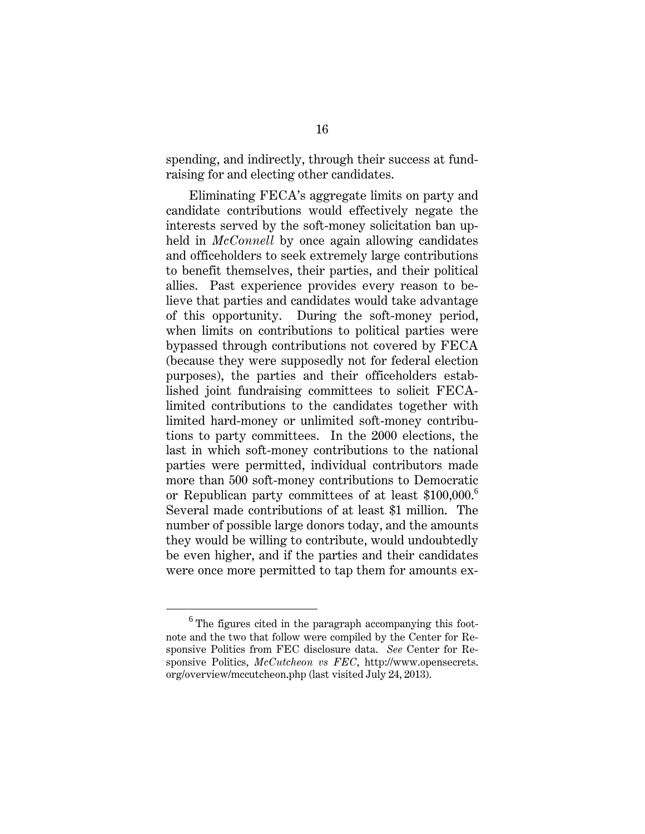spending, and indirectly, through their success at fundraising for and electing other candidates.

Eliminating FECA's aggregate limits on party and candidate contributions would effectively negate the interests served by the soft-money solicitation ban upheld in *McConnell* by once again allowing candidates and officeholders to seek extremely large contributions to benefit themselves, their parties, and their political allies. Past experience provides every reason to believe that parties and candidates would take advantage of this opportunity. During the soft-money period, when limits on contributions to political parties were bypassed through contributions not covered by FECA (because they were supposedly not for federal election purposes), the parties and their officeholders established joint fundraising committees to solicit FECAlimited contributions to the candidates together with limited hard-money or unlimited soft-money contributions to party committees. In the 2000 elections, the last in which soft-money contributions to the national parties were permitted, individual contributors made more than 500 soft-money contributions to Democratic or Republican party committees of at least \$100,000.<sup>6</sup> Several made contributions of at least \$1 million. The number of possible large donors today, and the amounts they would be willing to contribute, would undoubtedly be even higher, and if the parties and their candidates were once more permitted to tap them for amounts ex-

<sup>6</sup>  $6$  The figures cited in the paragraph accompanying this footnote and the two that follow were compiled by the Center for Responsive Politics from FEC disclosure data. *See* Center for Responsive Politics, *McCutcheon vs FEC*, http://www.opensecrets. org/overview/mccutcheon.php (last visited July 24, 2013).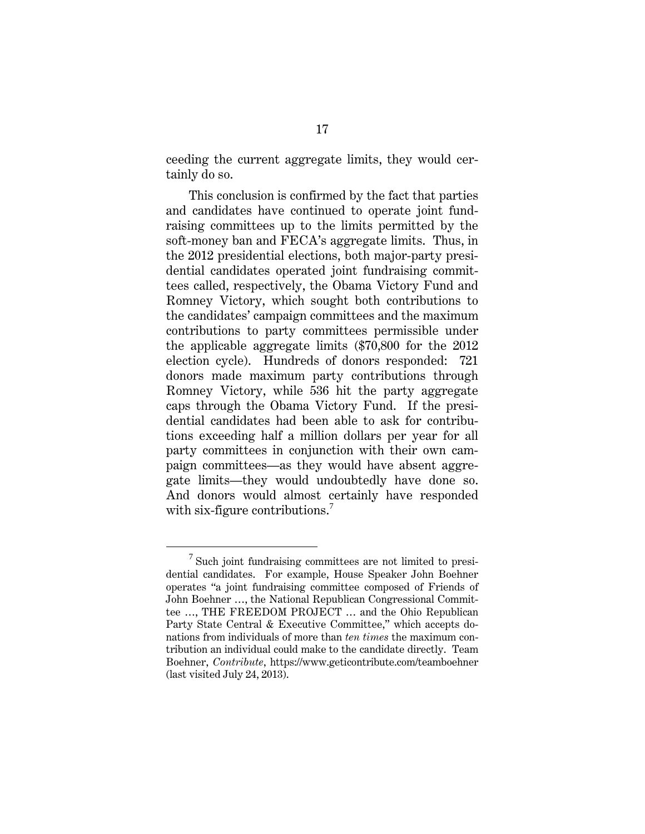ceeding the current aggregate limits, they would certainly do so.

This conclusion is confirmed by the fact that parties and candidates have continued to operate joint fundraising committees up to the limits permitted by the soft-money ban and FECA's aggregate limits. Thus, in the 2012 presidential elections, both major-party presidential candidates operated joint fundraising committees called, respectively, the Obama Victory Fund and Romney Victory, which sought both contributions to the candidates' campaign committees and the maximum contributions to party committees permissible under the applicable aggregate limits (\$70,800 for the 2012 election cycle). Hundreds of donors responded: 721 donors made maximum party contributions through Romney Victory, while 536 hit the party aggregate caps through the Obama Victory Fund. If the presidential candidates had been able to ask for contributions exceeding half a million dollars per year for all party committees in conjunction with their own campaign committees—as they would have absent aggregate limits—they would undoubtedly have done so. And donors would almost certainly have responded with six-figure contributions.<sup>7</sup>

 $\overline{7}$  $\frac{7}{1}$  Such joint fundraising committees are not limited to presidential candidates. For example, House Speaker John Boehner operates "a joint fundraising committee composed of Friends of John Boehner …, the National Republican Congressional Committee …, THE FREEDOM PROJECT … and the Ohio Republican Party State Central & Executive Committee," which accepts donations from individuals of more than *ten times* the maximum contribution an individual could make to the candidate directly. Team Boehner, *Contribute*, https://www.geticontribute.com/teamboehner (last visited July 24, 2013).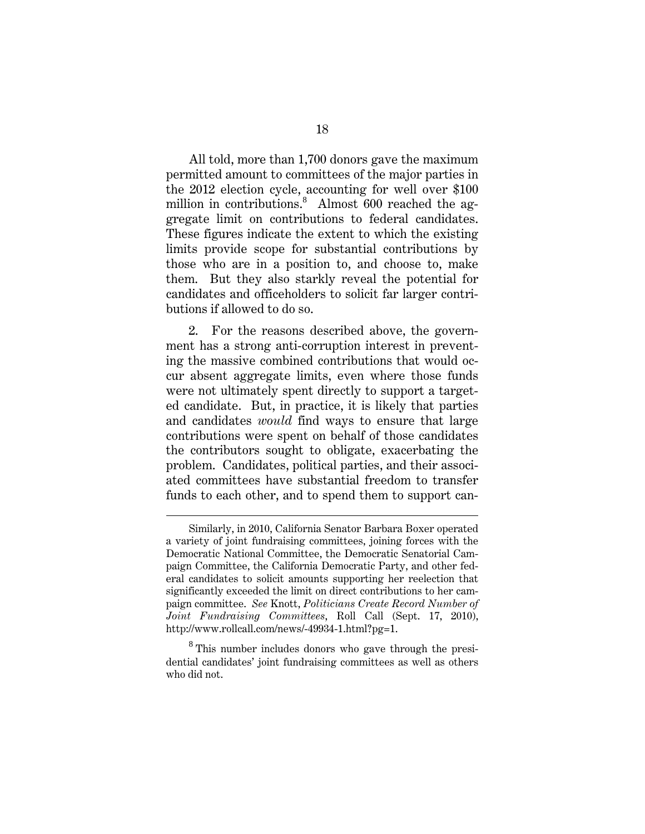All told, more than 1,700 donors gave the maximum permitted amount to committees of the major parties in the 2012 election cycle, accounting for well over \$100 million in contributions.<sup>8</sup> Almost 600 reached the aggregate limit on contributions to federal candidates. These figures indicate the extent to which the existing limits provide scope for substantial contributions by those who are in a position to, and choose to, make them. But they also starkly reveal the potential for candidates and officeholders to solicit far larger contributions if allowed to do so.

2. For the reasons described above, the government has a strong anti-corruption interest in preventing the massive combined contributions that would occur absent aggregate limits, even where those funds were not ultimately spent directly to support a targeted candidate. But, in practice, it is likely that parties and candidates *would* find ways to ensure that large contributions were spent on behalf of those candidates the contributors sought to obligate, exacerbating the problem. Candidates, political parties, and their associated committees have substantial freedom to transfer funds to each other, and to spend them to support can-

 $\overline{a}$ 

Similarly, in 2010, California Senator Barbara Boxer operated a variety of joint fundraising committees, joining forces with the Democratic National Committee, the Democratic Senatorial Campaign Committee, the California Democratic Party, and other federal candidates to solicit amounts supporting her reelection that significantly exceeded the limit on direct contributions to her campaign committee. *See* Knott, *Politicians Create Record Number of Joint Fundraising Committees*, Roll Call (Sept. 17, 2010), http://www.rollcall.com/news/-49934-1.html?pg=1.

<sup>&</sup>lt;sup>8</sup> This number includes donors who gave through the presidential candidates' joint fundraising committees as well as others who did not.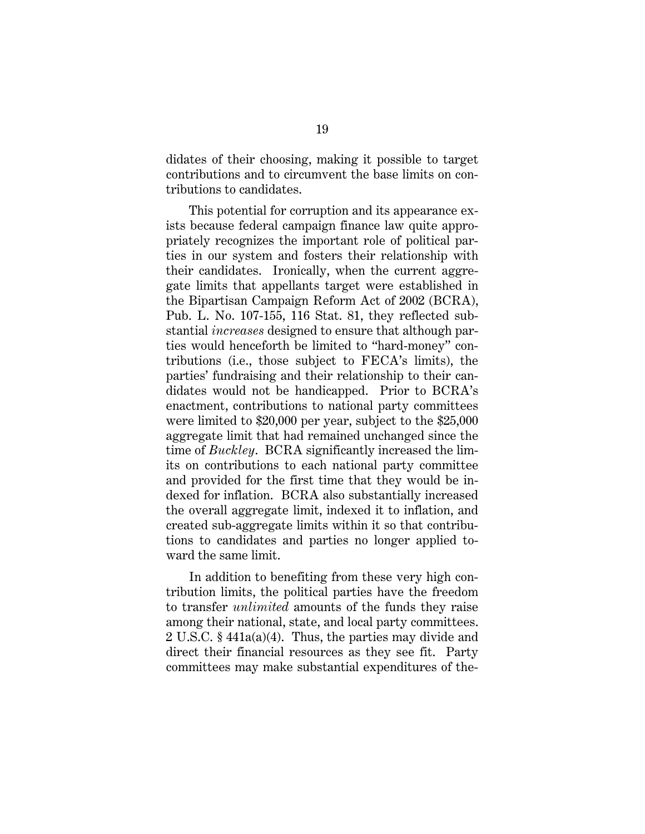didates of their choosing, making it possible to target contributions and to circumvent the base limits on contributions to candidates.

This potential for corruption and its appearance exists because federal campaign finance law quite appropriately recognizes the important role of political parties in our system and fosters their relationship with their candidates. Ironically, when the current aggregate limits that appellants target were established in the Bipartisan Campaign Reform Act of 2002 (BCRA), Pub. L. No. 107-155, 116 Stat. 81, they reflected substantial *increases* designed to ensure that although parties would henceforth be limited to "hard-money" contributions (i.e., those subject to FECA's limits), the parties' fundraising and their relationship to their candidates would not be handicapped. Prior to BCRA's enactment, contributions to national party committees were limited to \$20,000 per year, subject to the \$25,000 aggregate limit that had remained unchanged since the time of *Buckley*. BCRA significantly increased the limits on contributions to each national party committee and provided for the first time that they would be indexed for inflation. BCRA also substantially increased the overall aggregate limit, indexed it to inflation, and created sub-aggregate limits within it so that contributions to candidates and parties no longer applied toward the same limit.

In addition to benefiting from these very high contribution limits, the political parties have the freedom to transfer *unlimited* amounts of the funds they raise among their national, state, and local party committees. 2 U.S.C. § 441a(a)(4). Thus, the parties may divide and direct their financial resources as they see fit. Party committees may make substantial expenditures of the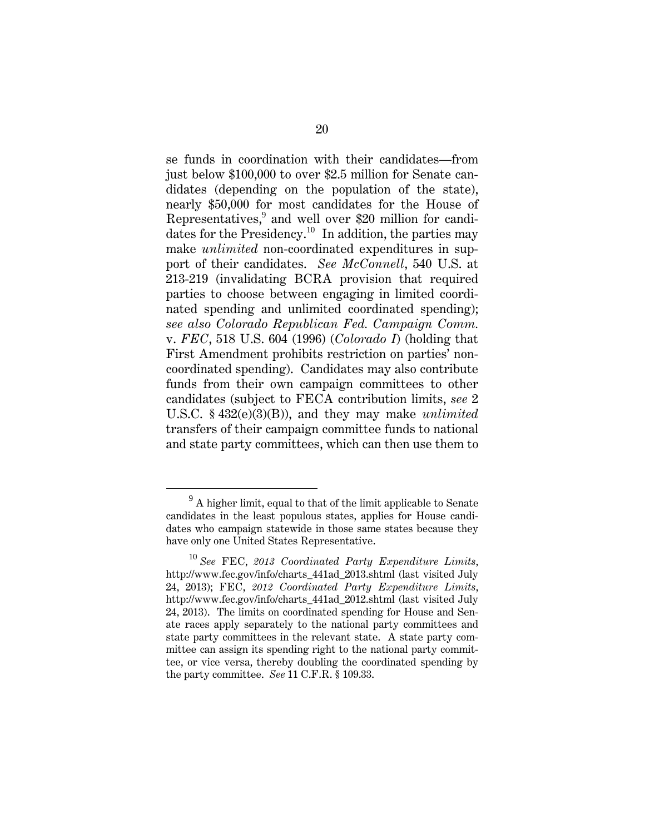se funds in coordination with their candidates—from just below \$100,000 to over \$2.5 million for Senate candidates (depending on the population of the state), nearly \$50,000 for most candidates for the House of Representatives,<sup>9</sup> and well over \$20 million for candidates for the Presidency.<sup>10</sup> In addition, the parties may make *unlimited* non-coordinated expenditures in support of their candidates. *See McConnell*, 540 U.S. at 213-219 (invalidating BCRA provision that required parties to choose between engaging in limited coordinated spending and unlimited coordinated spending); *see also Colorado Republican Fed. Campaign Comm.* v. *FEC*, 518 U.S. 604 (1996) (*Colorado I*) (holding that First Amendment prohibits restriction on parties' noncoordinated spending). Candidates may also contribute funds from their own campaign committees to other candidates (subject to FECA contribution limits, *see* 2 U.S.C. § 432(e)(3)(B)), and they may make *unlimited* transfers of their campaign committee funds to national and state party committees, which can then use them to

 $\frac{1}{9}$  $^{9}$  A higher limit, equal to that of the limit applicable to Senate candidates in the least populous states, applies for House candidates who campaign statewide in those same states because they have only one United States Representative.

<sup>10</sup> *See* FEC, *2013 Coordinated Party Expenditure Limits*, http://www.fec.gov/info/charts\_441ad\_2013.shtml (last visited July 24, 2013); FEC, *2012 Coordinated Party Expenditure Limits*, http://www.fec.gov/info/charts\_441ad\_2012.shtml (last visited July 24, 2013). The limits on coordinated spending for House and Senate races apply separately to the national party committees and state party committees in the relevant state. A state party committee can assign its spending right to the national party committee, or vice versa, thereby doubling the coordinated spending by the party committee. *See* 11 C.F.R. § 109.33.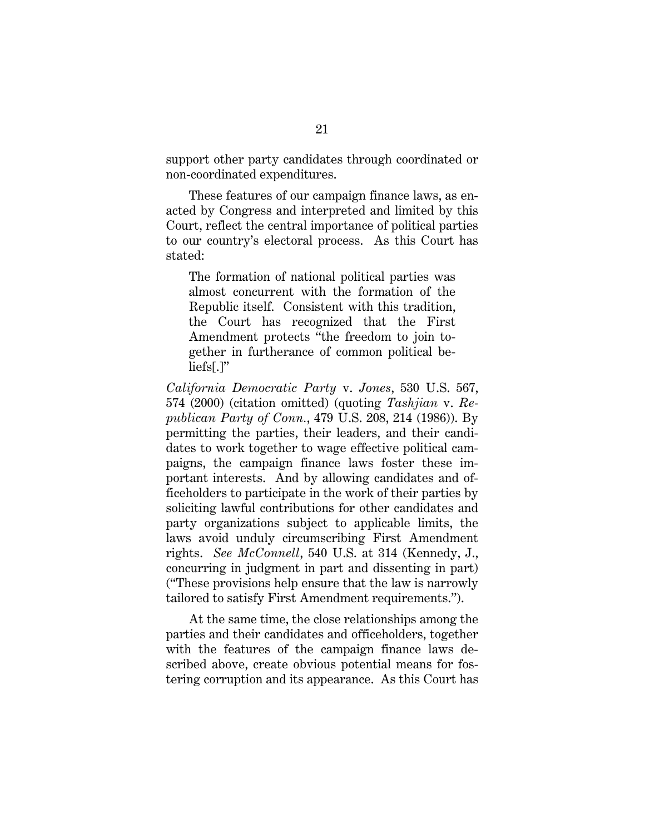support other party candidates through coordinated or non-coordinated expenditures.

These features of our campaign finance laws, as enacted by Congress and interpreted and limited by this Court, reflect the central importance of political parties to our country's electoral process. As this Court has stated:

The formation of national political parties was almost concurrent with the formation of the Republic itself. Consistent with this tradition, the Court has recognized that the First Amendment protects "the freedom to join together in furtherance of common political beliefs[.]"

*California Democratic Party* v. *Jones*, 530 U.S. 567, 574 (2000) (citation omitted) (quoting *Tashjian* v. *Republican Party of Conn.*, 479 U.S. 208, 214 (1986)). By permitting the parties, their leaders, and their candidates to work together to wage effective political campaigns, the campaign finance laws foster these important interests. And by allowing candidates and officeholders to participate in the work of their parties by soliciting lawful contributions for other candidates and party organizations subject to applicable limits, the laws avoid unduly circumscribing First Amendment rights. *See McConnell*, 540 U.S. at 314 (Kennedy, J., concurring in judgment in part and dissenting in part) ("These provisions help ensure that the law is narrowly tailored to satisfy First Amendment requirements.").

At the same time, the close relationships among the parties and their candidates and officeholders, together with the features of the campaign finance laws described above, create obvious potential means for fostering corruption and its appearance. As this Court has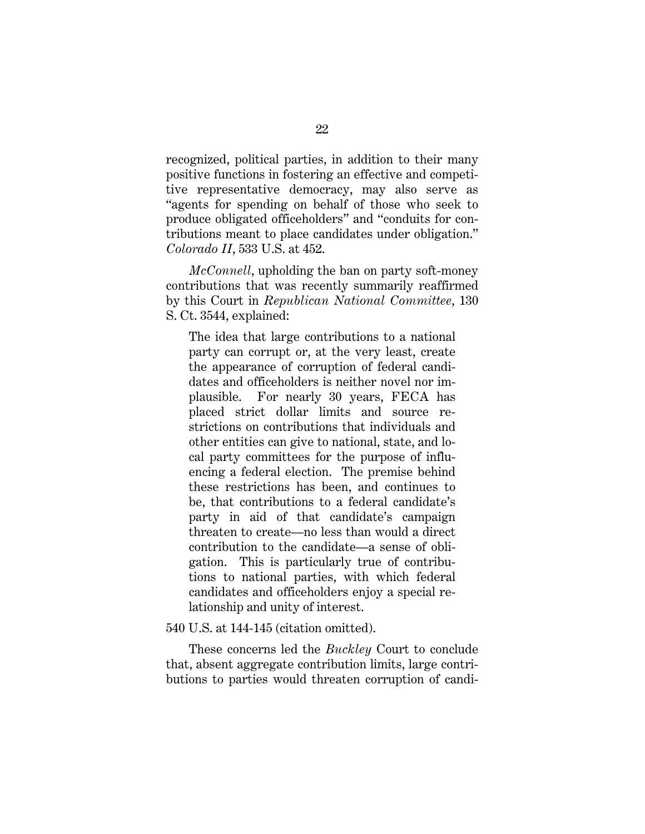recognized, political parties, in addition to their many positive functions in fostering an effective and competitive representative democracy, may also serve as "agents for spending on behalf of those who seek to produce obligated officeholders" and "conduits for contributions meant to place candidates under obligation." *Colorado II*, 533 U.S. at 452.

*McConnell*, upholding the ban on party soft-money contributions that was recently summarily reaffirmed by this Court in *Republican National Committee*, 130 S. Ct. 3544, explained:

The idea that large contributions to a national party can corrupt or, at the very least, create the appearance of corruption of federal candidates and officeholders is neither novel nor implausible. For nearly 30 years, FECA has placed strict dollar limits and source restrictions on contributions that individuals and other entities can give to national, state, and local party committees for the purpose of influencing a federal election. The premise behind these restrictions has been, and continues to be, that contributions to a federal candidate's party in aid of that candidate's campaign threaten to create—no less than would a direct contribution to the candidate—a sense of obligation. This is particularly true of contributions to national parties, with which federal candidates and officeholders enjoy a special relationship and unity of interest.

540 U.S. at 144-145 (citation omitted).

These concerns led the *Buckley* Court to conclude that, absent aggregate contribution limits, large contributions to parties would threaten corruption of candi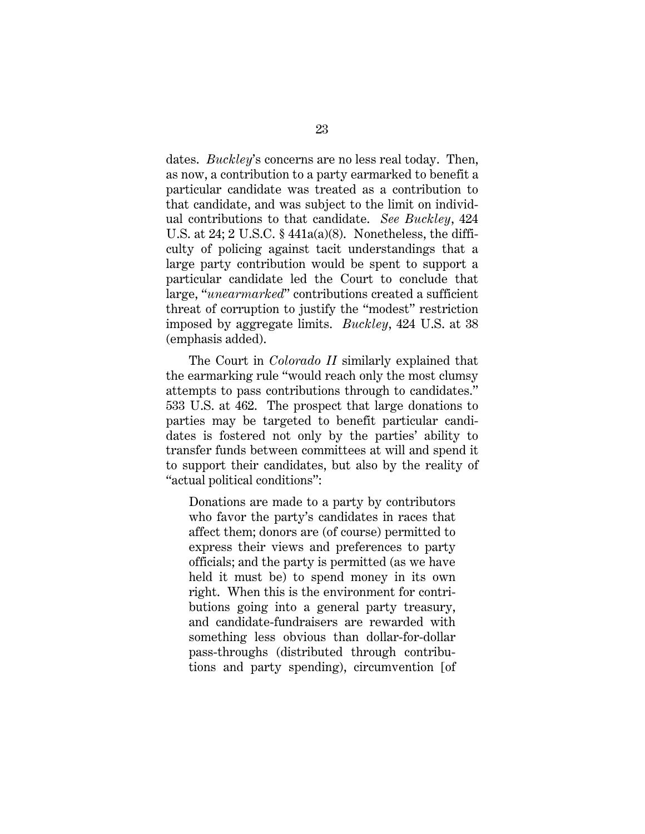dates. *Buckley*'s concerns are no less real today. Then, as now, a contribution to a party earmarked to benefit a particular candidate was treated as a contribution to that candidate, and was subject to the limit on individual contributions to that candidate. *See Buckley*, 424 U.S. at 24; 2 U.S.C. § 441a(a)(8). Nonetheless, the difficulty of policing against tacit understandings that a large party contribution would be spent to support a particular candidate led the Court to conclude that large, "*unearmarked*" contributions created a sufficient threat of corruption to justify the "modest" restriction imposed by aggregate limits. *Buckley*, 424 U.S. at 38 (emphasis added).

The Court in *Colorado II* similarly explained that the earmarking rule "would reach only the most clumsy attempts to pass contributions through to candidates." 533 U.S. at 462. The prospect that large donations to parties may be targeted to benefit particular candidates is fostered not only by the parties' ability to transfer funds between committees at will and spend it to support their candidates, but also by the reality of "actual political conditions":

Donations are made to a party by contributors who favor the party's candidates in races that affect them; donors are (of course) permitted to express their views and preferences to party officials; and the party is permitted (as we have held it must be) to spend money in its own right. When this is the environment for contributions going into a general party treasury, and candidate-fundraisers are rewarded with something less obvious than dollar-for-dollar pass-throughs (distributed through contributions and party spending), circumvention [of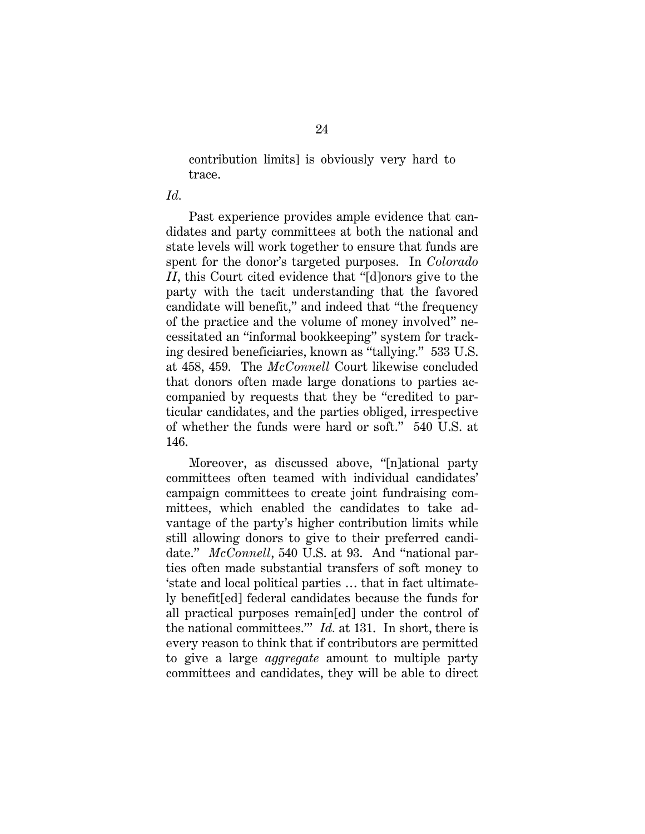contribution limits] is obviously very hard to trace.

#### *Id.*

Past experience provides ample evidence that candidates and party committees at both the national and state levels will work together to ensure that funds are spent for the donor's targeted purposes. In *Colorado II*, this Court cited evidence that "[d]onors give to the party with the tacit understanding that the favored candidate will benefit," and indeed that "the frequency of the practice and the volume of money involved" necessitated an "informal bookkeeping" system for tracking desired beneficiaries, known as "tallying." 533 U.S. at 458, 459. The *McConnell* Court likewise concluded that donors often made large donations to parties accompanied by requests that they be "credited to particular candidates, and the parties obliged, irrespective of whether the funds were hard or soft." 540 U.S. at 146.

Moreover, as discussed above, "[n]ational party committees often teamed with individual candidates' campaign committees to create joint fundraising committees, which enabled the candidates to take advantage of the party's higher contribution limits while still allowing donors to give to their preferred candidate." *McConnell*, 540 U.S. at 93. And "national parties often made substantial transfers of soft money to 'state and local political parties … that in fact ultimately benefit[ed] federal candidates because the funds for all practical purposes remain[ed] under the control of the national committees.'" *Id.* at 131. In short, there is every reason to think that if contributors are permitted to give a large *aggregate* amount to multiple party committees and candidates, they will be able to direct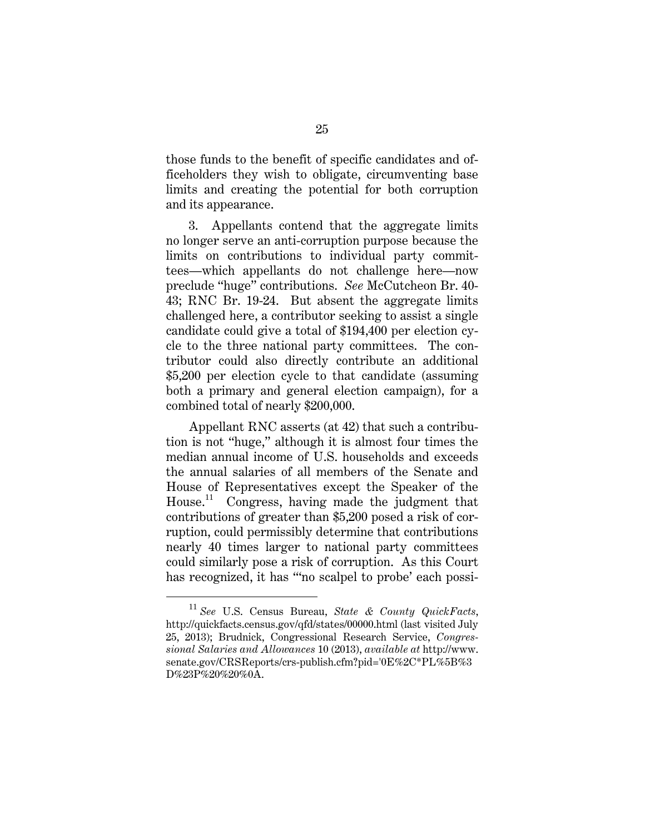those funds to the benefit of specific candidates and officeholders they wish to obligate, circumventing base limits and creating the potential for both corruption and its appearance.

3. Appellants contend that the aggregate limits no longer serve an anti-corruption purpose because the limits on contributions to individual party committees—which appellants do not challenge here—now preclude "huge" contributions. *See* McCutcheon Br. 40- 43; RNC Br. 19-24. But absent the aggregate limits challenged here, a contributor seeking to assist a single candidate could give a total of \$194,400 per election cycle to the three national party committees. The contributor could also directly contribute an additional \$5,200 per election cycle to that candidate (assuming both a primary and general election campaign), for a combined total of nearly \$200,000.

Appellant RNC asserts (at 42) that such a contribution is not "huge," although it is almost four times the median annual income of U.S. households and exceeds the annual salaries of all members of the Senate and House of Representatives except the Speaker of the House.<sup>11</sup> Congress, having made the judgment that contributions of greater than \$5,200 posed a risk of corruption, could permissibly determine that contributions nearly 40 times larger to national party committees could similarly pose a risk of corruption. As this Court has recognized, it has ""no scalpel to probe' each possi-

<sup>11</sup> *See* U.S. Census Bureau, *State & County QuickFacts*, http://quickfacts.census.gov/qfd/states/00000.html (last visited July 25, 2013); Brudnick, Congressional Research Service, *Congressional Salaries and Allowances* 10 (2013), *available at* http://www. senate.gov/CRSReports/crs-publish.cfm?pid='0E%2C\*PL%5B%3 D%23P%20%20%0A.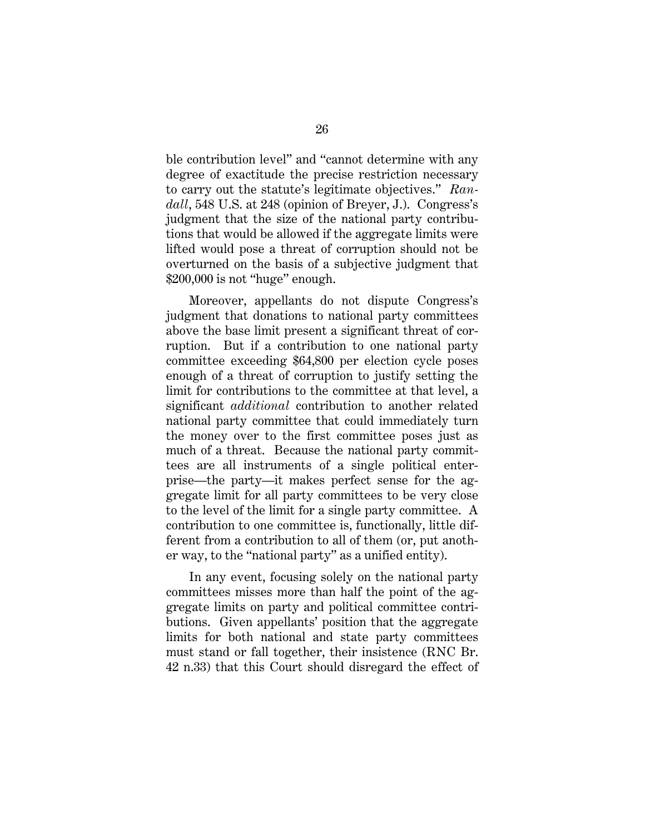ble contribution level" and "cannot determine with any degree of exactitude the precise restriction necessary to carry out the statute's legitimate objectives." *Randall*, 548 U.S. at 248 (opinion of Breyer, J.). Congress's judgment that the size of the national party contributions that would be allowed if the aggregate limits were lifted would pose a threat of corruption should not be overturned on the basis of a subjective judgment that \$200,000 is not "huge" enough.

Moreover, appellants do not dispute Congress's judgment that donations to national party committees above the base limit present a significant threat of corruption. But if a contribution to one national party committee exceeding \$64,800 per election cycle poses enough of a threat of corruption to justify setting the limit for contributions to the committee at that level, a significant *additional* contribution to another related national party committee that could immediately turn the money over to the first committee poses just as much of a threat. Because the national party committees are all instruments of a single political enterprise—the party—it makes perfect sense for the aggregate limit for all party committees to be very close to the level of the limit for a single party committee. A contribution to one committee is, functionally, little different from a contribution to all of them (or, put another way, to the "national party" as a unified entity).

In any event, focusing solely on the national party committees misses more than half the point of the aggregate limits on party and political committee contributions. Given appellants' position that the aggregate limits for both national and state party committees must stand or fall together, their insistence (RNC Br. 42 n.33) that this Court should disregard the effect of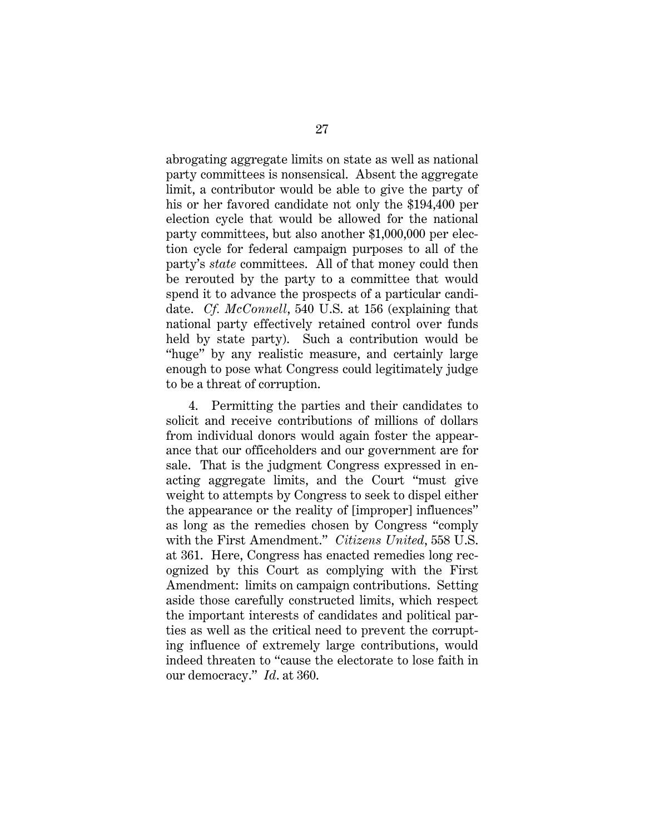abrogating aggregate limits on state as well as national party committees is nonsensical. Absent the aggregate limit, a contributor would be able to give the party of his or her favored candidate not only the \$194,400 per election cycle that would be allowed for the national party committees, but also another \$1,000,000 per election cycle for federal campaign purposes to all of the party's *state* committees. All of that money could then be rerouted by the party to a committee that would spend it to advance the prospects of a particular candidate. *Cf. McConnell*, 540 U.S. at 156 (explaining that national party effectively retained control over funds held by state party). Such a contribution would be "huge" by any realistic measure, and certainly large enough to pose what Congress could legitimately judge to be a threat of corruption.

4. Permitting the parties and their candidates to solicit and receive contributions of millions of dollars from individual donors would again foster the appearance that our officeholders and our government are for sale. That is the judgment Congress expressed in enacting aggregate limits, and the Court "must give weight to attempts by Congress to seek to dispel either the appearance or the reality of [improper] influences" as long as the remedies chosen by Congress "comply with the First Amendment." *Citizens United*, 558 U.S. at 361. Here, Congress has enacted remedies long recognized by this Court as complying with the First Amendment: limits on campaign contributions. Setting aside those carefully constructed limits, which respect the important interests of candidates and political parties as well as the critical need to prevent the corrupting influence of extremely large contributions, would indeed threaten to "cause the electorate to lose faith in our democracy." *Id*. at 360.